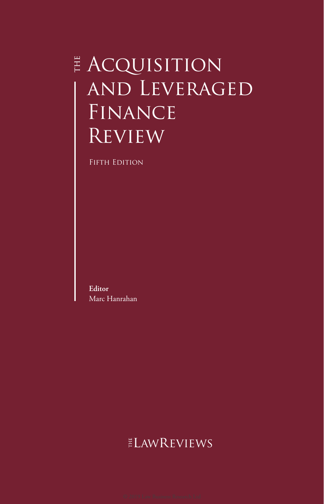## **E ACQUISITION** and Leveraged FINANCE **REVIEW**

FIFTH EDITION

**Editor** Marc Hanrahan

## ELAWREVIEWS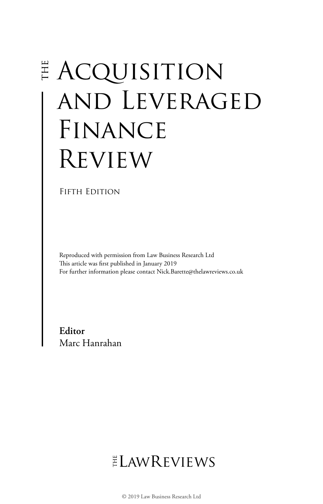# **E ACQUISITION** and Leveraged FINANCE Review

#### FIFTH EDITION

Reproduced with permission from Law Business Research Ltd This article was first published in January 2019 For further information please contact Nick.Barette@thelawreviews.co.uk

**Editor** Marc Hanrahan

## $ELMR$  EVIEWS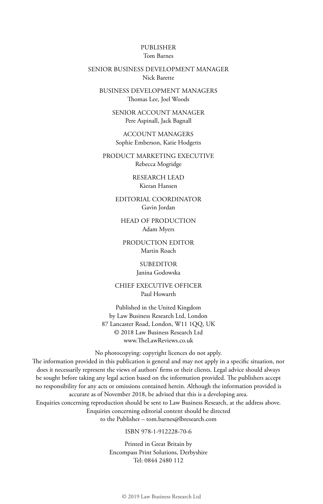#### PUBLISHER Tom Barnes

#### SENIOR BUSINESS DEVELOPMENT MANAGER Nick Barette

BUSINESS DEVELOPMENT MANAGERS Thomas Lee, Joel Woods

> SENIOR ACCOUNT MANAGER Pere Aspinall, Jack Bagnall

ACCOUNT MANAGERS Sophie Emberson, Katie Hodgetts

PRODUCT MARKETING EXECUTIVE Rebecca Mogridge

> RESEARCH LEAD Kieran Hansen

EDITORIAL COORDINATOR Gavin Jordan

HEAD OF PRODUCTION Adam Myers

PRODUCTION EDITOR Martin Roach

> SUBEDITOR Janina Godowska

CHIEF EXECUTIVE OFFICER Paul Howarth

Published in the United Kingdom by Law Business Research Ltd, London 87 Lancaster Road, London, W11 1QQ, UK © 2018 Law Business Research Ltd www.TheLawReviews.co.uk

No photocopying: copyright licences do not apply.

The information provided in this publication is general and may not apply in a specific situation, nor does it necessarily represent the views of authors' firms or their clients. Legal advice should always be sought before taking any legal action based on the information provided. The publishers accept no responsibility for any acts or omissions contained herein. Although the information provided is accurate as of November 2018, be advised that this is a developing area. Enquiries concerning reproduction should be sent to Law Business Research, at the address above. Enquiries concerning editorial content should be directed

to the Publisher – tom.barnes@lbresearch.com

ISBN 978-1-912228-70-6

Printed in Great Britain by Encompass Print Solutions, Derbyshire Tel: 0844 2480 112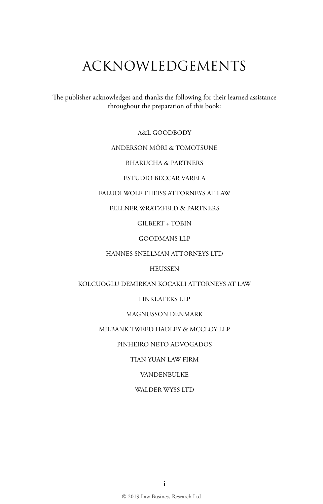## ACKNOWLEDGEMENTS

The publisher acknowledges and thanks the following for their learned assistance throughout the preparation of this book:

A&L GOODBODY

#### ANDERSON MŌRI & TOMOTSUNE

BHARUCHA & PARTNERS

ESTUDIO BECCAR VARELA

#### FALUDI WOLF THEISS ATTORNEYS AT LAW

FELLNER WRATZFELD & PARTNERS

GILBERT + TOBIN

GOODMANS LLP

HANNES SNELLMAN ATTORNEYS LTD

HEUSSEN

KOLCUOĞLU DEMİRKAN KOÇAKLI ATTORNEYS AT LAW

LINKLATERS LLP

#### MAGNUSSON DENMARK

#### MILBANK TWEED HADLEY & MCCLOY LLP

PINHEIRO NETO ADVOGADOS

TIAN YUAN LAW FIRM

VANDENBULKE

WALDER WYSS LTD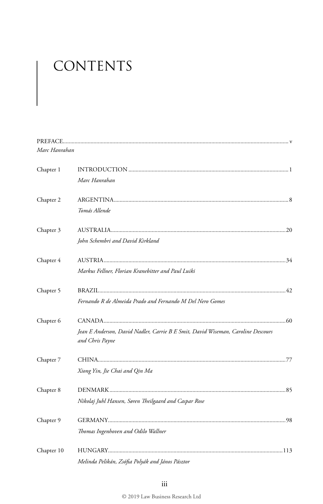# CONTENTS

| Marc Hanrahan |                                                                                                     |
|---------------|-----------------------------------------------------------------------------------------------------|
| Chapter 1     |                                                                                                     |
|               | Marc Hanrahan                                                                                       |
| Chapter 2     |                                                                                                     |
|               | Tomás Allende                                                                                       |
| Chapter 3     |                                                                                                     |
|               | John Schembri and David Kirkland                                                                    |
| Chapter 4     |                                                                                                     |
|               | Markus Fellner, Florian Kranebitter and Paul Luiki                                                  |
| Chapter 5     |                                                                                                     |
|               | Fernando R de Almeida Prado and Fernando M Del Nero Gomes                                           |
| Chapter 6     |                                                                                                     |
|               | Jean E Anderson, David Nadler, Carrie B E Smit, David Wiseman, Caroline Descours<br>and Chris Payne |
| Chapter 7     |                                                                                                     |
|               | Xiong Yin, Jie Chai and Qin Ma                                                                      |
| Chapter 8     |                                                                                                     |
|               | Nikolaj Juhl Hansen, Søren Theilgaard and Caspar Rose                                               |
| Chapter 9     |                                                                                                     |
|               | Thomas Ingenhoven and Odilo Wallner                                                                 |
| Chapter 10    |                                                                                                     |
|               | Melinda Pelikán, Zsófia Polyák and János Pásztor                                                    |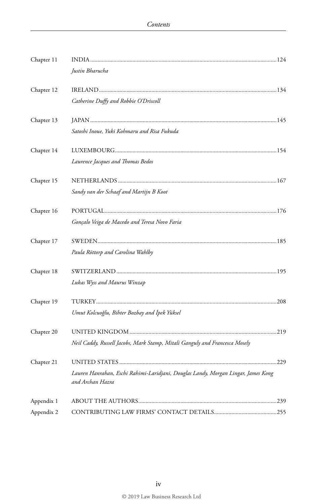| Chapter 11 |                                                                                                       |  |
|------------|-------------------------------------------------------------------------------------------------------|--|
|            | Justin Bharucha                                                                                       |  |
| Chapter 12 |                                                                                                       |  |
|            | Catherine Duffy and Robbie O'Driscoll                                                                 |  |
| Chapter 13 |                                                                                                       |  |
|            | Satoshi Inoue, Yuki Kohmaru and Risa Fukuda                                                           |  |
| Chapter 14 |                                                                                                       |  |
|            | Laurence Jacques and Thomas Bedos                                                                     |  |
| Chapter 15 |                                                                                                       |  |
|            | Sandy van der Schaaf and Martijn B Koot                                                               |  |
| Chapter 16 |                                                                                                       |  |
|            | Gonçalo Veiga de Macedo and Teresa Novo Faria                                                         |  |
| Chapter 17 |                                                                                                       |  |
|            | Paula Röttorp and Carolina Wahlby                                                                     |  |
| Chapter 18 |                                                                                                       |  |
|            | Lukas Wyss and Maurus Winzap                                                                          |  |
| Chapter 19 |                                                                                                       |  |
|            | Umut Kolcuoğlu, Bihter Bozbay and İpek Yüksel                                                         |  |
| Chapter 20 |                                                                                                       |  |
|            | Neil Caddy, Russell Jacobs, Mark Stamp, Mitali Ganguly and Francesca Mosely                           |  |
| Chapter 21 |                                                                                                       |  |
|            | Lauren Hanrahan, Eschi Rahimi-Laridjani, Douglas Landy, Morgan Lingar, James Kong<br>and Archan Hazra |  |
| Appendix 1 |                                                                                                       |  |
| Appendix 2 |                                                                                                       |  |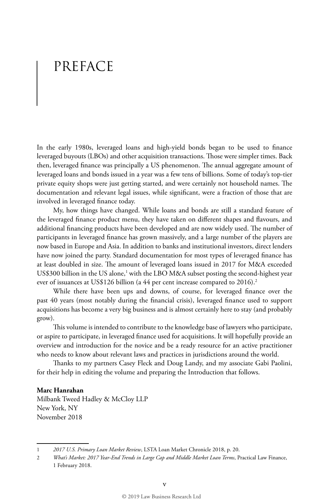## PREFACE

In the early 1980s, leveraged loans and high-yield bonds began to be used to finance leveraged buyouts (LBOs) and other acquisition transactions. Those were simpler times. Back then, leveraged finance was principally a US phenomenon. The annual aggregate amount of leveraged loans and bonds issued in a year was a few tens of billions. Some of today's top-tier private equity shops were just getting started, and were certainly not household names. The documentation and relevant legal issues, while significant, were a fraction of those that are involved in leveraged finance today.

My, how things have changed. While loans and bonds are still a standard feature of the leveraged finance product menu, they have taken on different shapes and flavours, and additional financing products have been developed and are now widely used. The number of participants in leveraged finance has grown massively, and a large number of the players are now based in Europe and Asia. In addition to banks and institutional investors, direct lenders have now joined the party. Standard documentation for most types of leveraged finance has at least doubled in size. The amount of leveraged loans issued in 2017 for M&A exceeded US\$300 billion in the US alone,<sup>1</sup> with the LBO M&A subset posting the second-highest year ever of issuances at US\$126 billion (a 44 per cent increase compared to 2016).<sup>2</sup>

While there have been ups and downs, of course, for leveraged finance over the past 40 years (most notably during the financial crisis), leveraged finance used to support acquisitions has become a very big business and is almost certainly here to stay (and probably grow).

This volume is intended to contribute to the knowledge base of lawyers who participate, or aspire to participate, in leveraged finance used for acquisitions. It will hopefully provide an overview and introduction for the novice and be a ready resource for an active practitioner who needs to know about relevant laws and practices in jurisdictions around the world.

Thanks to my partners Casey Fleck and Doug Landy, and my associate Gabi Paolini, for their help in editing the volume and preparing the Introduction that follows.

#### **Marc Hanrahan**

Milbank Tweed Hadley & McCloy LLP New York, NY November 2018

<sup>1</sup> *2017 U.S. Primary Loan Market Review*, LSTA Loan Market Chronicle 2018, p. 20.

<sup>2</sup> *What's Market: 2017 Year-End Trends in Large Cap and Middle Market Loan Terms*, Practical Law Finance, 1 February 2018.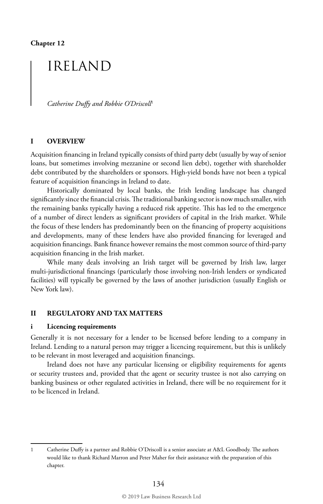### IRELAND

*Catherine Duffy and Robbie O'Driscoll*<sup>1</sup>

#### **I OVERVIEW**

Acquisition financing in Ireland typically consists of third party debt (usually by way of senior loans, but sometimes involving mezzanine or second lien debt), together with shareholder debt contributed by the shareholders or sponsors. High-yield bonds have not been a typical feature of acquisition financings in Ireland to date.

Historically dominated by local banks, the Irish lending landscape has changed significantly since the financial crisis. The traditional banking sector is now much smaller, with the remaining banks typically having a reduced risk appetite. This has led to the emergence of a number of direct lenders as significant providers of capital in the Irish market. While the focus of these lenders has predominantly been on the financing of property acquisitions and developments, many of these lenders have also provided financing for leveraged and acquisition financings. Bank finance however remains the most common source of third-party acquisition financing in the Irish market.

While many deals involving an Irish target will be governed by Irish law, larger multi-jurisdictional financings (particularly those involving non-Irish lenders or syndicated facilities) will typically be governed by the laws of another jurisdiction (usually English or New York law).

#### **II REGULATORY AND TAX MATTERS**

#### **i Licencing requirements**

Generally it is not necessary for a lender to be licensed before lending to a company in Ireland. Lending to a natural person may trigger a licencing requirement, but this is unlikely to be relevant in most leveraged and acquisition financings.

Ireland does not have any particular licensing or eligibility requirements for agents or security trustees and, provided that the agent or security trustee is not also carrying on banking business or other regulated activities in Ireland, there will be no requirement for it to be licenced in Ireland.

<sup>1</sup> Catherine Duffy is a partner and Robbie O'Driscoll is a senior associate at A&L Goodbody. The authors would like to thank Richard Marron and Peter Maher for their assistance with the preparation of this chapter.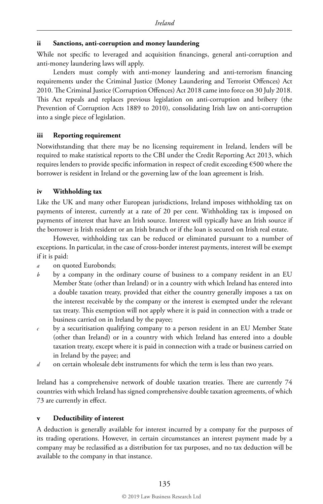#### **ii Sanctions, anti-corruption and money laundering**

While not specific to leveraged and acquisition financings, general anti-corruption and anti-money laundering laws will apply.

Lenders must comply with anti-money laundering and anti-terrorism financing requirements under the Criminal Justice (Money Laundering and Terrorist Offences) Act 2010. The Criminal Justice (Corruption Offences) Act 2018 came into force on 30 July 2018. This Act repeals and replaces previous legislation on anti-corruption and bribery (the Prevention of Corruption Acts 1889 to 2010), consolidating Irish law on anti-corruption into a single piece of legislation.

#### **iii Reporting requirement**

Notwithstanding that there may be no licensing requirement in Ireland, lenders will be required to make statistical reports to the CBI under the Credit Reporting Act 2013, which requires lenders to provide specific information in respect of credit exceeding €500 where the borrower is resident in Ireland or the governing law of the loan agreement is Irish.

#### **iv Withholding tax**

Like the UK and many other European jurisdictions, Ireland imposes withholding tax on payments of interest, currently at a rate of 20 per cent. Withholding tax is imposed on payments of interest that have an Irish source. Interest will typically have an Irish source if the borrower is Irish resident or an Irish branch or if the loan is secured on Irish real estate.

However, withholding tax can be reduced or eliminated pursuant to a number of exceptions. In particular, in the case of cross-border interest payments, interest will be exempt if it is paid:

- *a* on quoted Eurobonds;
- *b* by a company in the ordinary course of business to a company resident in an EU Member State (other than Ireland) or in a country with which Ireland has entered into a double taxation treaty, provided that either the country generally imposes a tax on the interest receivable by the company or the interest is exempted under the relevant tax treaty. This exemption will not apply where it is paid in connection with a trade or business carried on in Ireland by the payee;
- *c* by a securitisation qualifying company to a person resident in an EU Member State (other than Ireland) or in a country with which Ireland has entered into a double taxation treaty, except where it is paid in connection with a trade or business carried on in Ireland by the payee; and
- *d* on certain wholesale debt instruments for which the term is less than two years.

Ireland has a comprehensive network of double taxation treaties. There are currently 74 countries with which Ireland has signed comprehensive double taxation agreements, of which 73 are currently in effect.

#### **v Deductibility of interest**

A deduction is generally available for interest incurred by a company for the purposes of its trading operations. However, in certain circumstances an interest payment made by a company may be reclassified as a distribution for tax purposes, and no tax deduction will be available to the company in that instance.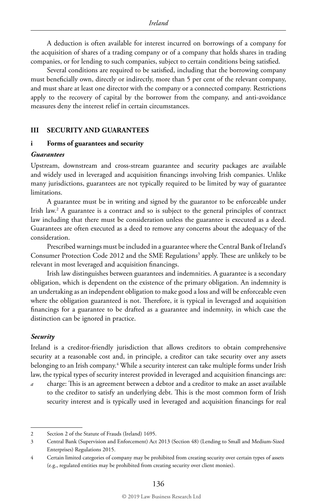A deduction is often available for interest incurred on borrowings of a company for the acquisition of shares of a trading company or of a company that holds shares in trading companies, or for lending to such companies, subject to certain conditions being satisfied.

Several conditions are required to be satisfied, including that the borrowing company must beneficially own, directly or indirectly, more than 5 per cent of the relevant company, and must share at least one director with the company or a connected company. Restrictions apply to the recovery of capital by the borrower from the company, and anti-avoidance measures deny the interest relief in certain circumstances.

#### **III SECURITY AND GUARANTEES**

#### **i Forms of guarantees and security**

#### *Guarantees*

Upstream, downstream and cross-stream guarantee and security packages are available and widely used in leveraged and acquisition financings involving Irish companies. Unlike many jurisdictions, guarantees are not typically required to be limited by way of guarantee limitations.

A guarantee must be in writing and signed by the guarantor to be enforceable under Irish law.2 A guarantee is a contract and so is subject to the general principles of contract law including that there must be consideration unless the guarantee is executed as a deed. Guarantees are often executed as a deed to remove any concerns about the adequacy of the consideration.

Prescribed warnings must be included in a guarantee where the Central Bank of Ireland's Consumer Protection Code 2012 and the SME Regulations<sup>3</sup> apply. These are unlikely to be relevant in most leveraged and acquisition financings.

Irish law distinguishes between guarantees and indemnities. A guarantee is a secondary obligation, which is dependent on the existence of the primary obligation. An indemnity is an undertaking as an independent obligation to make good a loss and will be enforceable even where the obligation guaranteed is not. Therefore, it is typical in leveraged and acquisition financings for a guarantee to be drafted as a guarantee and indemnity, in which case the distinction can be ignored in practice.

#### *Security*

Ireland is a creditor-friendly jurisdiction that allows creditors to obtain comprehensive security at a reasonable cost and, in principle, a creditor can take security over any assets belonging to an Irish company.4 While a security interest can take multiple forms under Irish law, the typical types of security interest provided in leveraged and acquisition financings are:

*a* charge: This is an agreement between a debtor and a creditor to make an asset available to the creditor to satisfy an underlying debt. This is the most common form of Irish security interest and is typically used in leveraged and acquisition financings for real

<sup>2</sup> Section 2 of the Statute of Frauds (Ireland) 1695.

<sup>3</sup> Central Bank (Supervision and Enforcement) Act 2013 (Section 48) (Lending to Small and Medium-Sized Enterprises) Regulations 2015.

<sup>4</sup> Certain limited categories of company may be prohibited from creating security over certain types of assets (e.g., regulated entities may be prohibited from creating security over client monies).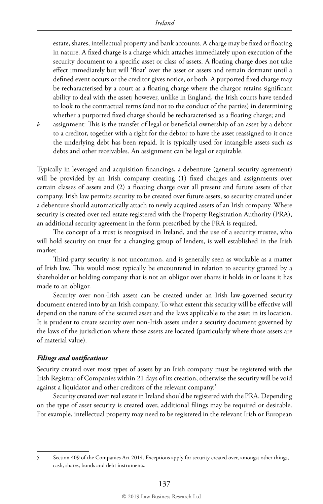estate, shares, intellectual property and bank accounts. A charge may be fixed or floating in nature. A fixed charge is a charge which attaches immediately upon execution of the security document to a specific asset or class of assets. A floating charge does not take effect immediately but will 'float' over the asset or assets and remain dormant until a defined event occurs or the creditor gives notice, or both. A purported fixed charge may be recharacterised by a court as a floating charge where the chargor retains significant ability to deal with the asset; however, unlike in England, the Irish courts have tended to look to the contractual terms (and not to the conduct of the parties) in determining whether a purported fixed charge should be recharacterised as a floating charge; and

*b* assignment: This is the transfer of legal or beneficial ownership of an asset by a debtor to a creditor, together with a right for the debtor to have the asset reassigned to it once the underlying debt has been repaid. It is typically used for intangible assets such as debts and other receivables. An assignment can be legal or equitable.

Typically in leveraged and acquisition financings, a debenture (general security agreement) will be provided by an Irish company creating (1) fixed charges and assignments over certain classes of assets and (2) a floating charge over all present and future assets of that company. Irish law permits security to be created over future assets, so security created under a debenture should automatically attach to newly acquired assets of an Irish company. Where security is created over real estate registered with the Property Registration Authority (PRA), an additional security agreement in the form prescribed by the PRA is required.

The concept of a trust is recognised in Ireland, and the use of a security trustee, who will hold security on trust for a changing group of lenders, is well established in the Irish market.

Third-party security is not uncommon, and is generally seen as workable as a matter of Irish law. This would most typically be encountered in relation to security granted by a shareholder or holding company that is not an obligor over shares it holds in or loans it has made to an obligor.

Security over non-Irish assets can be created under an Irish law-governed security document entered into by an Irish company. To what extent this security will be effective will depend on the nature of the secured asset and the laws applicable to the asset in its location. It is prudent to create security over non-Irish assets under a security document governed by the laws of the jurisdiction where those assets are located (particularly where those assets are of material value).

#### *Filings and notifications*

Security created over most types of assets by an Irish company must be registered with the Irish Registrar of Companies within 21 days of its creation, otherwise the security will be void against a liquidator and other creditors of the relevant company.<sup>5</sup>

Security created over real estate in Ireland should be registered with the PRA. Depending on the type of asset security is created over, additional filings may be required or desirable. For example, intellectual property may need to be registered in the relevant Irish or European

<sup>5</sup> Section 409 of the Companies Act 2014. Exceptions apply for security created over, amongst other things, cash, shares, bonds and debt instruments.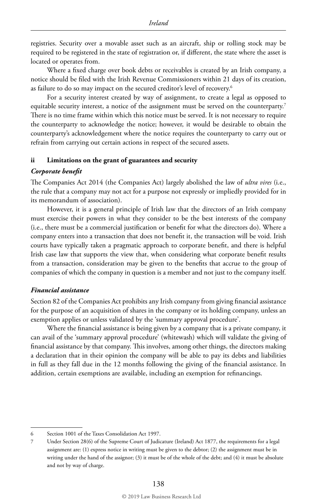registries. Security over a movable asset such as an aircraft, ship or rolling stock may be required to be registered in the state of registration or, if different, the state where the asset is located or operates from.

Where a fixed charge over book debts or receivables is created by an Irish company, a notice should be filed with the Irish Revenue Commissioners within 21 days of its creation, as failure to do so may impact on the secured creditor's level of recovery.<sup>6</sup>

For a security interest created by way of assignment, to create a legal as opposed to equitable security interest, a notice of the assignment must be served on the counterparty.<sup>7</sup> There is no time frame within which this notice must be served. It is not necessary to require the counterparty to acknowledge the notice; however, it would be desirable to obtain the counterparty's acknowledgement where the notice requires the counterparty to carry out or refrain from carrying out certain actions in respect of the secured assets.

#### **ii Limitations on the grant of guarantees and security**

#### *Corporate benefit*

The Companies Act 2014 (the Companies Act) largely abolished the law of *ultra vires* (i.e., the rule that a company may not act for a purpose not expressly or impliedly provided for in its memorandum of association).

However, it is a general principle of Irish law that the directors of an Irish company must exercise their powers in what they consider to be the best interests of the company (i.e., there must be a commercial justification or benefit for what the directors do). Where a company enters into a transaction that does not benefit it, the transaction will be void. Irish courts have typically taken a pragmatic approach to corporate benefit, and there is helpful Irish case law that supports the view that, when considering what corporate benefit results from a transaction, consideration may be given to the benefits that accrue to the group of companies of which the company in question is a member and not just to the company itself.

#### *Financial assistance*

Section 82 of the Companies Act prohibits any Irish company from giving financial assistance for the purpose of an acquisition of shares in the company or its holding company, unless an exemption applies or unless validated by the 'summary approval procedure'.

Where the financial assistance is being given by a company that is a private company, it can avail of the 'summary approval procedure' (whitewash) which will validate the giving of financial assistance by that company. This involves, among other things, the directors making a declaration that in their opinion the company will be able to pay its debts and liabilities in full as they fall due in the 12 months following the giving of the financial assistance. In addition, certain exemptions are available, including an exemption for refinancings.

<sup>6</sup> Section 1001 of the Taxes Consolidation Act 1997.

<sup>7</sup> Under Section 28(6) of the Supreme Court of Judicature (Ireland) Act 1877, the requirements for a legal assignment are: (1) express notice in writing must be given to the debtor; (2) the assignment must be in writing under the hand of the assignor; (3) it must be of the whole of the debt; and (4) it must be absolute and not by way of charge.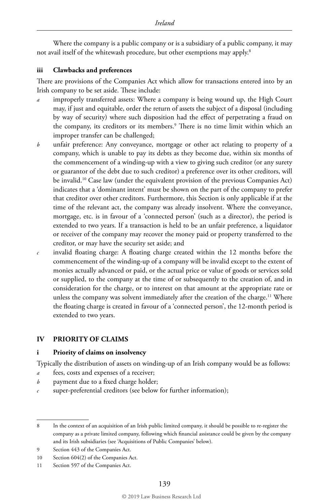Where the company is a public company or is a subsidiary of a public company, it may not avail itself of the whitewash procedure, but other exemptions may apply.8

#### **iii Clawbacks and preferences**

There are provisions of the Companies Act which allow for transactions entered into by an Irish company to be set aside. These include:

- improperly transferred assets: Where a company is being wound up, the High Court may, if just and equitable, order the return of assets the subject of a disposal (including by way of security) where such disposition had the effect of perpetrating a fraud on the company, its creditors or its members.9 There is no time limit within which an improper transfer can be challenged;
- *b* unfair preference: Any conveyance, mortgage or other act relating to property of a company, which is unable to pay its debts as they become due, within six months of the commencement of a winding-up with a view to giving such creditor (or any surety or guarantor of the debt due to such creditor) a preference over its other creditors, will be invalid.10 Case law (under the equivalent provision of the previous Companies Act) indicates that a 'dominant intent' must be shown on the part of the company to prefer that creditor over other creditors. Furthermore, this Section is only applicable if at the time of the relevant act, the company was already insolvent. Where the conveyance, mortgage, etc. is in favour of a 'connected person' (such as a director), the period is extended to two years. If a transaction is held to be an unfair preference, a liquidator or receiver of the company may recover the money paid or property transferred to the creditor, or may have the security set aside; and
- *c* invalid floating charge: A floating charge created within the 12 months before the commencement of the winding-up of a company will be invalid except to the extent of monies actually advanced or paid, or the actual price or value of goods or services sold or supplied, to the company at the time of or subsequently to the creation of, and in consideration for the charge, or to interest on that amount at the appropriate rate or unless the company was solvent immediately after the creation of the charge.<sup>11</sup> Where the floating charge is created in favour of a 'connected person', the 12-month period is extended to two years.

#### **IV PRIORITY OF CLAIMS**

#### **i Priority of claims on insolvency**

Typically the distribution of assets on winding-up of an Irish company would be as follows:

- *a* fees, costs and expenses of a receiver;
- *b* payment due to a fixed charge holder;
- *c* super-preferential creditors (see below for further information);

<sup>8</sup> In the context of an acquisition of an Irish public limited company, it should be possible to re-register the company as a private limited company, following which financial assistance could be given by the company and its Irish subsidiaries (see 'Acquisitions of Public Companies' below).

<sup>9</sup> Section 443 of the Companies Act.

<sup>10</sup> Section 604(2) of the Companies Act.

<sup>11</sup> Section 597 of the Companies Act.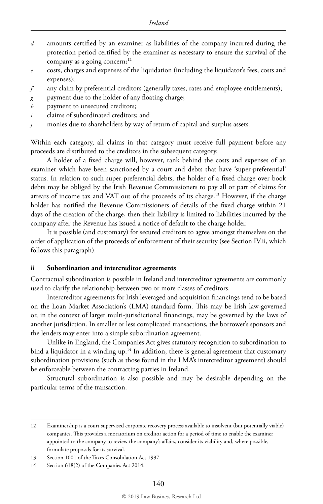- *d* amounts certified by an examiner as liabilities of the company incurred during the protection period certified by the examiner as necessary to ensure the survival of the company as a going concern; $12$
- *e* costs, charges and expenses of the liquidation (including the liquidator's fees, costs and expenses);
- *f* any claim by preferential creditors (generally taxes, rates and employee entitlements);
- *g* payment due to the holder of any floating charge;
- *h* payment to unsecured creditors;
- *i* claims of subordinated creditors; and
- *j* monies due to shareholders by way of return of capital and surplus assets.

Within each category, all claims in that category must receive full payment before any proceeds are distributed to the creditors in the subsequent category.

A holder of a fixed charge will, however, rank behind the costs and expenses of an examiner which have been sanctioned by a court and debts that have 'super-preferential' status. In relation to such super-preferential debts, the holder of a fixed charge over book debts may be obliged by the Irish Revenue Commissioners to pay all or part of claims for arrears of income tax and VAT out of the proceeds of its charge.13 However, if the charge holder has notified the Revenue Commissioners of details of the fixed charge within 21 days of the creation of the charge, then their liability is limited to liabilities incurred by the company after the Revenue has issued a notice of default to the charge holder.

It is possible (and customary) for secured creditors to agree amongst themselves on the order of application of the proceeds of enforcement of their security (see Section IV.ii, which follows this paragraph).

#### **ii Subordination and intercreditor agreements**

Contractual subordination is possible in Ireland and intercreditor agreements are commonly used to clarify the relationship between two or more classes of creditors.

Intercreditor agreements for Irish leveraged and acquisition financings tend to be based on the Loan Market Association's (LMA) standard form. This may be Irish law-governed or, in the context of larger multi-jurisdictional financings, may be governed by the laws of another jurisdiction. In smaller or less complicated transactions, the borrower's sponsors and the lenders may enter into a simple subordination agreement.

Unlike in England, the Companies Act gives statutory recognition to subordination to bind a liquidator in a winding up.<sup>14</sup> In addition, there is general agreement that customary subordination provisions (such as those found in the LMA's intercreditor agreement) should be enforceable between the contracting parties in Ireland.

Structural subordination is also possible and may be desirable depending on the particular terms of the transaction.

<sup>12</sup> Examinership is a court supervised corporate recovery process available to insolvent (but potentially viable) companies. This provides a moratorium on creditor action for a period of time to enable the examiner appointed to the company to review the company's affairs, consider its viability and, where possible, formulate proposals for its survival.

<sup>13</sup> Section 1001 of the Taxes Consolidation Act 1997.

<sup>14</sup> Section 618(2) of the Companies Act 2014.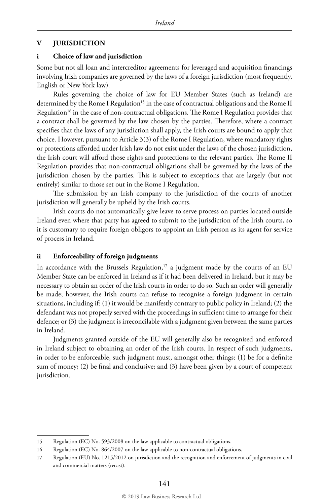#### **V JURISDICTION**

#### **i Choice of law and jurisdiction**

Some but not all loan and intercreditor agreements for leveraged and acquisition financings involving Irish companies are governed by the laws of a foreign jurisdiction (most frequently, English or New York law).

Rules governing the choice of law for EU Member States (such as Ireland) are determined by the Rome I Regulation<sup>15</sup> in the case of contractual obligations and the Rome II Regulation<sup>16</sup> in the case of non-contractual obligations. The Rome I Regulation provides that a contract shall be governed by the law chosen by the parties. Therefore, where a contract specifies that the laws of any jurisdiction shall apply, the Irish courts are bound to apply that choice. However, pursuant to Article 3(3) of the Rome I Regulation, where mandatory rights or protections afforded under Irish law do not exist under the laws of the chosen jurisdiction, the Irish court will afford those rights and protections to the relevant parties. The Rome II Regulation provides that non-contractual obligations shall be governed by the laws of the jurisdiction chosen by the parties. This is subject to exceptions that are largely (but not entirely) similar to those set out in the Rome I Regulation.

The submission by an Irish company to the jurisdiction of the courts of another jurisdiction will generally be upheld by the Irish courts.

Irish courts do not automatically give leave to serve process on parties located outside Ireland even where that party has agreed to submit to the jurisdiction of the Irish courts, so it is customary to require foreign obligors to appoint an Irish person as its agent for service of process in Ireland.

#### **ii Enforceability of foreign judgments**

In accordance with the Brussels Regulation,<sup>17</sup> a judgment made by the courts of an EU Member State can be enforced in Ireland as if it had been delivered in Ireland, but it may be necessary to obtain an order of the Irish courts in order to do so. Such an order will generally be made; however, the Irish courts can refuse to recognise a foreign judgment in certain situations, including if: (1) it would be manifestly contrary to public policy in Ireland; (2) the defendant was not properly served with the proceedings in sufficient time to arrange for their defence; or (3) the judgment is irreconcilable with a judgment given between the same parties in Ireland.

Judgments granted outside of the EU will generally also be recognised and enforced in Ireland subject to obtaining an order of the Irish courts. In respect of such judgments, in order to be enforceable, such judgment must, amongst other things: (1) be for a definite sum of money; (2) be final and conclusive; and (3) have been given by a court of competent jurisdiction.

<sup>15</sup> Regulation (EC) No. 593/2008 on the law applicable to contractual obligations.

<sup>16</sup> Regulation (EC) No. 864/2007 on the law applicable to non-contractual obligations.

<sup>17</sup> Regulation (EU) No. 1215/2012 on jurisdiction and the recognition and enforcement of judgments in civil and commercial matters (recast).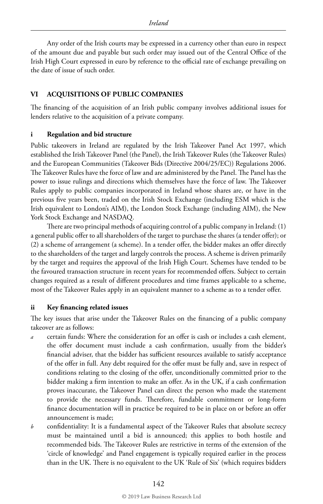Any order of the Irish courts may be expressed in a currency other than euro in respect of the amount due and payable but such order may issued out of the Central Office of the Irish High Court expressed in euro by reference to the official rate of exchange prevailing on the date of issue of such order.

#### **VI ACQUISITIONS OF PUBLIC COMPANIES**

The financing of the acquisition of an Irish public company involves additional issues for lenders relative to the acquisition of a private company.

#### **i Regulation and bid structure**

Public takeovers in Ireland are regulated by the Irish Takeover Panel Act 1997, which established the Irish Takeover Panel (the Panel), the Irish Takeover Rules (the Takeover Rules) and the European Communities (Takeover Bids (Directive 2004/25/EC)) Regulations 2006. The Takeover Rules have the force of law and are administered by the Panel. The Panel has the power to issue rulings and directions which themselves have the force of law. The Takeover Rules apply to public companies incorporated in Ireland whose shares are, or have in the previous five years been, traded on the Irish Stock Exchange (including ESM which is the Irish equivalent to London's AIM), the London Stock Exchange (including AIM), the New York Stock Exchange and NASDAQ.

There are two principal methods of acquiring control of a public company in Ireland: (1) a general public offer to all shareholders of the target to purchase the shares (a tender offer); or (2) a scheme of arrangement (a scheme). In a tender offer, the bidder makes an offer directly to the shareholders of the target and largely controls the process. A scheme is driven primarily by the target and requires the approval of the Irish High Court. Schemes have tended to be the favoured transaction structure in recent years for recommended offers. Subject to certain changes required as a result of different procedures and time frames applicable to a scheme, most of the Takeover Rules apply in an equivalent manner to a scheme as to a tender offer.

#### **ii Key financing related issues**

The key issues that arise under the Takeover Rules on the financing of a public company takeover are as follows:

- *a* certain funds: Where the consideration for an offer is cash or includes a cash element, the offer document must include a cash confirmation, usually from the bidder's financial adviser, that the bidder has sufficient resources available to satisfy acceptance of the offer in full. Any debt required for the offer must be fully and, save in respect of conditions relating to the closing of the offer, unconditionally committed prior to the bidder making a firm intention to make an offer. As in the UK, if a cash confirmation proves inaccurate, the Takeover Panel can direct the person who made the statement to provide the necessary funds. Therefore, fundable commitment or long-form finance documentation will in practice be required to be in place on or before an offer announcement is made;
- *b* confidentiality: It is a fundamental aspect of the Takeover Rules that absolute secrecy must be maintained until a bid is announced; this applies to both hostile and recommended bids. The Takeover Rules are restrictive in terms of the extension of the 'circle of knowledge' and Panel engagement is typically required earlier in the process than in the UK. There is no equivalent to the UK 'Rule of Six' (which requires bidders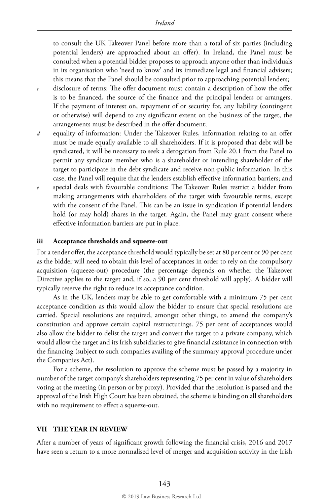to consult the UK Takeover Panel before more than a total of six parties (including potential lenders) are approached about an offer). In Ireland, the Panel must be consulted when a potential bidder proposes to approach anyone other than individuals in its organisation who 'need to know' and its immediate legal and financial advisers; this means that the Panel should be consulted prior to approaching potential lenders;

- *c* disclosure of terms: The offer document must contain a description of how the offer is to be financed, the source of the finance and the principal lenders or arrangers. If the payment of interest on, repayment of or security for, any liability (contingent or otherwise) will depend to any significant extent on the business of the target, the arrangements must be described in the offer document;
- *d* equality of information: Under the Takeover Rules, information relating to an offer must be made equally available to all shareholders. If it is proposed that debt will be syndicated, it will be necessary to seek a derogation from Rule 20.1 from the Panel to permit any syndicate member who is a shareholder or intending shareholder of the target to participate in the debt syndicate and receive non-public information. In this case, the Panel will require that the lenders establish effective information barriers; and
- *e* special deals with favourable conditions: The Takeover Rules restrict a bidder from making arrangements with shareholders of the target with favourable terms, except with the consent of the Panel. This can be an issue in syndication if potential lenders hold (or may hold) shares in the target. Again, the Panel may grant consent where effective information barriers are put in place.

#### **iii Acceptance thresholds and squeeze-out**

For a tender offer, the acceptance threshold would typically be set at 80 per cent or 90 per cent as the bidder will need to obtain this level of acceptances in order to rely on the compulsory acquisition (squeeze-out) procedure (the percentage depends on whether the Takeover Directive applies to the target and, if so, a 90 per cent threshold will apply). A bidder will typically reserve the right to reduce its acceptance condition.

As in the UK, lenders may be able to get comfortable with a minimum 75 per cent acceptance condition as this would allow the bidder to ensure that special resolutions are carried. Special resolutions are required, amongst other things, to amend the company's constitution and approve certain capital restructurings. 75 per cent of acceptances would also allow the bidder to delist the target and convert the target to a private company, which would allow the target and its Irish subsidiaries to give financial assistance in connection with the financing (subject to such companies availing of the summary approval procedure under the Companies Act).

For a scheme, the resolution to approve the scheme must be passed by a majority in number of the target company's shareholders representing 75 per cent in value of shareholders voting at the meeting (in person or by proxy). Provided that the resolution is passed and the approval of the Irish High Court has been obtained, the scheme is binding on all shareholders with no requirement to effect a squeeze-out.

#### **VII THE YEAR IN REVIEW**

After a number of years of significant growth following the financial crisis, 2016 and 2017 have seen a return to a more normalised level of merger and acquisition activity in the Irish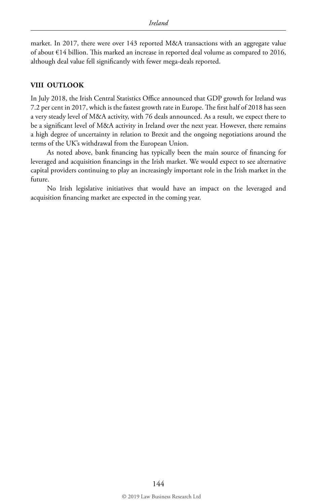market. In 2017, there were over 143 reported M&A transactions with an aggregate value of about €14 billion. This marked an increase in reported deal volume as compared to 2016, although deal value fell significantly with fewer mega-deals reported.

#### **VIII OUTLOOK**

In July 2018, the Irish Central Statistics Office announced that GDP growth for Ireland was 7.2 per cent in 2017, which is the fastest growth rate in Europe. The first half of 2018 has seen a very steady level of M&A activity, with 76 deals announced. As a result, we expect there to be a significant level of M&A activity in Ireland over the next year. However, there remains a high degree of uncertainty in relation to Brexit and the ongoing negotiations around the terms of the UK's withdrawal from the European Union.

As noted above, bank financing has typically been the main source of financing for leveraged and acquisition financings in the Irish market. We would expect to see alternative capital providers continuing to play an increasingly important role in the Irish market in the future.

No Irish legislative initiatives that would have an impact on the leveraged and acquisition financing market are expected in the coming year.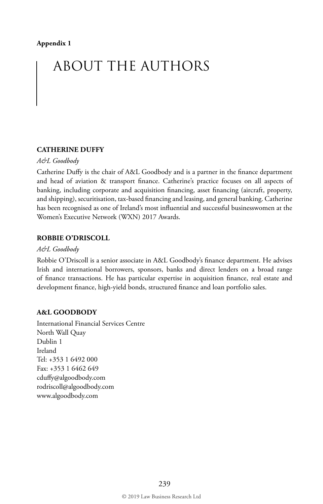## ABOUT THE AUTHORS

#### **CATHERINE DUFFY**

#### *A&L Goodbody*

Catherine Duffy is the chair of A&L Goodbody and is a partner in the finance department and head of aviation & transport finance. Catherine's practice focuses on all aspects of banking, including corporate and acquisition financing, asset financing (aircraft, property, and shipping), securitisation, tax-based financing and leasing, and general banking. Catherine has been recognised as one of Ireland's most influential and successful businesswomen at the Women's Executive Network (WXN) 2017 Awards.

#### **ROBBIE O'DRISCOLL**

#### *A&L Goodbody*

Robbie O'Driscoll is a senior associate in A&L Goodbody's finance department. He advises Irish and international borrowers, sponsors, banks and direct lenders on a broad range of finance transactions. He has particular expertise in acquisition finance, real estate and development finance, high-yield bonds, structured finance and loan portfolio sales.

#### **A&L GOODBODY**

International Financial Services Centre North Wall Quay Dublin 1 Ireland Tel: +353 1 6492 000 Fax: +353 1 6462 649 cduffy@algoodbody.com rodriscoll@algoodbody.com www.algoodbody.com